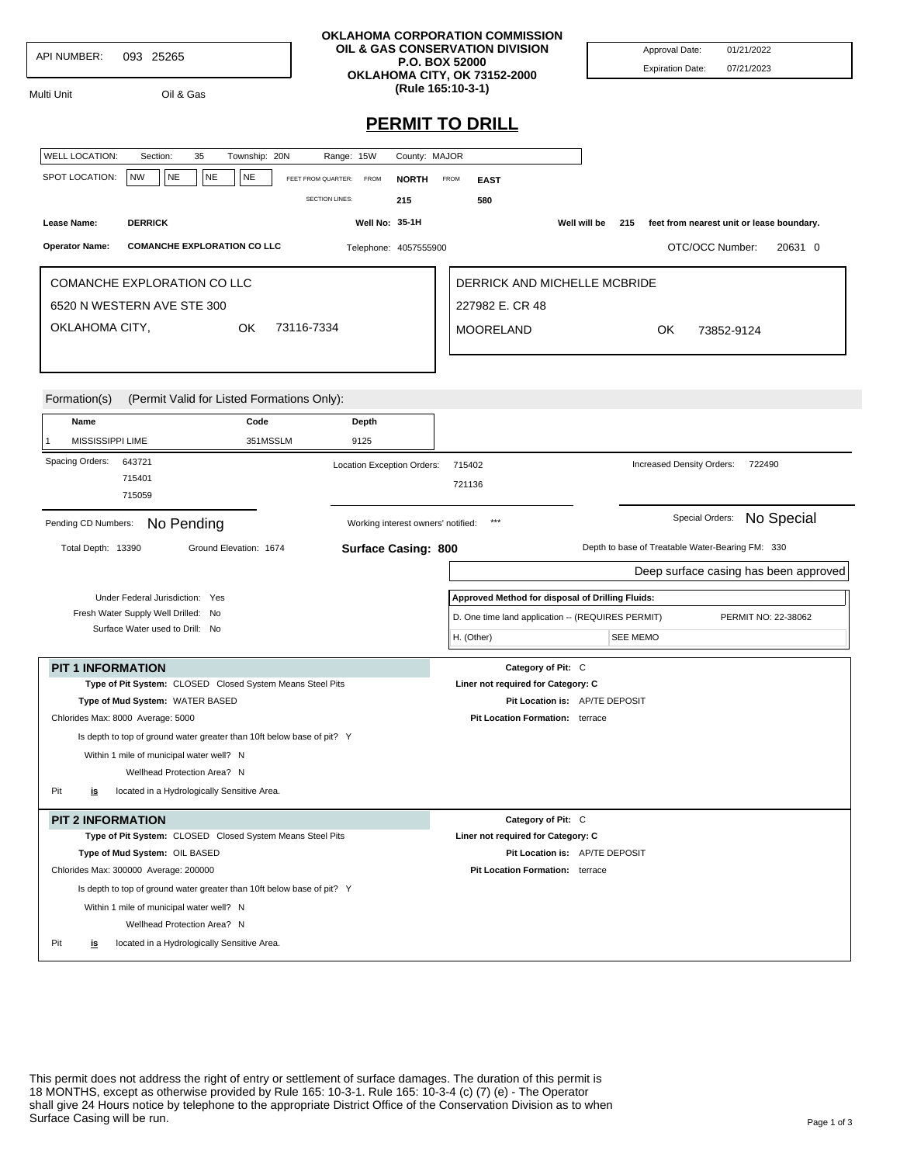| <b>API NUMBER:</b> | 093 25265 |
|--------------------|-----------|

Multi Unit Oil & Gas

**OKLAHOMA CORPORATION COMMISSION OIL & GAS CONSERVATION DIVISION P.O. BOX 52000 OKLAHOMA CITY, OK 73152-2000 (Rule 165:10-3-1)**

Approval Date: 01/21/2022 Expiration Date: 07/21/2023

## **PERMIT TO DRILL**

| <b>WELL LOCATION:</b>                 | Section:                                                               | 35        | Township: 20N          |                                                                        | Range: 15W                         | County: MAJOR |                                                                          |                 |                                                  |                 |  |                                                  |            |                                       |
|---------------------------------------|------------------------------------------------------------------------|-----------|------------------------|------------------------------------------------------------------------|------------------------------------|---------------|--------------------------------------------------------------------------|-----------------|--------------------------------------------------|-----------------|--|--------------------------------------------------|------------|---------------------------------------|
| SPOT LOCATION:                        | <b>NW</b><br>NE                                                        | <b>NE</b> | <b>NE</b>              | FEET FROM QUARTER:                                                     | <b>FROM</b>                        |               | FROM                                                                     |                 |                                                  |                 |  |                                                  |            |                                       |
|                                       |                                                                        |           |                        |                                                                        |                                    | <b>NORTH</b>  |                                                                          | <b>EAST</b>     |                                                  |                 |  |                                                  |            |                                       |
|                                       |                                                                        |           |                        | <b>SECTION LINES:</b>                                                  |                                    | 215           |                                                                          | 580             |                                                  |                 |  |                                                  |            |                                       |
| Lease Name:                           | <b>DERRICK</b>                                                         |           |                        |                                                                        | <b>Well No: 35-1H</b>              |               |                                                                          |                 | Well will be                                     | 215             |  | feet from nearest unit or lease boundary.        |            |                                       |
| <b>Operator Name:</b>                 | <b>COMANCHE EXPLORATION CO LLC</b>                                     |           |                        |                                                                        | Telephone: 4057555900              |               |                                                                          |                 |                                                  |                 |  | OTC/OCC Number:                                  |            | 20631 0                               |
| <b>COMANCHE EXPLORATION CO LLC</b>    |                                                                        |           |                        |                                                                        |                                    |               | DERRICK AND MICHELLE MCBRIDE                                             |                 |                                                  |                 |  |                                                  |            |                                       |
| 6520 N WESTERN AVE STE 300            |                                                                        |           |                        |                                                                        |                                    |               |                                                                          | 227982 E. CR 48 |                                                  |                 |  |                                                  |            |                                       |
| OKLAHOMA CITY,<br>73116-7334<br>OK.   |                                                                        |           |                        |                                                                        | <b>MOORELAND</b>                   |               |                                                                          | OK.             | 73852-9124                                       |                 |  |                                                  |            |                                       |
|                                       |                                                                        |           |                        |                                                                        |                                    |               |                                                                          |                 |                                                  |                 |  |                                                  |            |                                       |
|                                       |                                                                        |           |                        |                                                                        |                                    |               |                                                                          |                 |                                                  |                 |  |                                                  |            |                                       |
|                                       |                                                                        |           |                        |                                                                        |                                    |               |                                                                          |                 |                                                  |                 |  |                                                  |            |                                       |
| Formation(s)                          |                                                                        |           |                        | (Permit Valid for Listed Formations Only):                             |                                    |               |                                                                          |                 |                                                  |                 |  |                                                  |            |                                       |
| Name                                  |                                                                        |           | Code                   |                                                                        | Depth                              |               |                                                                          |                 |                                                  |                 |  |                                                  |            |                                       |
| MISSISSIPPI LIME                      |                                                                        |           | 351MSSLM               |                                                                        | 9125                               |               |                                                                          |                 |                                                  |                 |  |                                                  |            |                                       |
| Spacing Orders:                       | 643721                                                                 |           |                        |                                                                        | Location Exception Orders:         |               | 715402                                                                   |                 |                                                  |                 |  | Increased Density Orders:                        | 722490     |                                       |
|                                       | 715401                                                                 |           |                        |                                                                        |                                    |               | 721136                                                                   |                 |                                                  |                 |  |                                                  |            |                                       |
|                                       | 715059                                                                 |           |                        |                                                                        |                                    |               |                                                                          |                 |                                                  |                 |  |                                                  |            |                                       |
| Pending CD Numbers:                   | No Pending                                                             |           |                        |                                                                        | Working interest owners' notified: |               |                                                                          | $***$           |                                                  |                 |  | Special Orders:                                  | No Special |                                       |
| Total Depth: 13390                    |                                                                        |           | Ground Elevation: 1674 |                                                                        | <b>Surface Casing: 800</b>         |               |                                                                          |                 |                                                  |                 |  | Depth to base of Treatable Water-Bearing FM: 330 |            |                                       |
|                                       |                                                                        |           |                        |                                                                        |                                    |               |                                                                          |                 |                                                  |                 |  |                                                  |            |                                       |
|                                       |                                                                        |           |                        |                                                                        |                                    |               |                                                                          |                 |                                                  |                 |  |                                                  |            | Deep surface casing has been approved |
|                                       | Under Federal Jurisdiction: Yes                                        |           |                        |                                                                        |                                    |               |                                                                          |                 | Approved Method for disposal of Drilling Fluids: |                 |  |                                                  |            |                                       |
|                                       | Fresh Water Supply Well Drilled: No<br>Surface Water used to Drill: No |           |                        |                                                                        |                                    |               | D. One time land application -- (REQUIRES PERMIT)<br>PERMIT NO: 22-38062 |                 |                                                  |                 |  |                                                  |            |                                       |
|                                       |                                                                        |           |                        |                                                                        |                                    |               | H. (Other)                                                               |                 |                                                  | <b>SEE MEMO</b> |  |                                                  |            |                                       |
| <b>PIT 1 INFORMATION</b>              |                                                                        |           |                        |                                                                        |                                    |               |                                                                          |                 | Category of Pit: C                               |                 |  |                                                  |            |                                       |
|                                       |                                                                        |           |                        | Type of Pit System: CLOSED Closed System Means Steel Pits              |                                    |               |                                                                          |                 | Liner not required for Category: C               |                 |  |                                                  |            |                                       |
|                                       | Type of Mud System: WATER BASED                                        |           |                        |                                                                        |                                    |               | Pit Location is: AP/TE DEPOSIT                                           |                 |                                                  |                 |  |                                                  |            |                                       |
| Chlorides Max: 8000 Average: 5000     |                                                                        |           |                        |                                                                        |                                    |               |                                                                          |                 | Pit Location Formation: terrace                  |                 |  |                                                  |            |                                       |
|                                       |                                                                        |           |                        | Is depth to top of ground water greater than 10ft below base of pit? Y |                                    |               |                                                                          |                 |                                                  |                 |  |                                                  |            |                                       |
|                                       | Within 1 mile of municipal water well? N                               |           |                        |                                                                        |                                    |               |                                                                          |                 |                                                  |                 |  |                                                  |            |                                       |
|                                       | Wellhead Protection Area? N                                            |           |                        |                                                                        |                                    |               |                                                                          |                 |                                                  |                 |  |                                                  |            |                                       |
| Pit<br><u>is</u>                      | located in a Hydrologically Sensitive Area.                            |           |                        |                                                                        |                                    |               |                                                                          |                 |                                                  |                 |  |                                                  |            |                                       |
| <b>PIT 2 INFORMATION</b>              |                                                                        |           |                        |                                                                        |                                    |               |                                                                          |                 | Category of Pit: C                               |                 |  |                                                  |            |                                       |
|                                       |                                                                        |           |                        | Type of Pit System: CLOSED Closed System Means Steel Pits              |                                    |               |                                                                          |                 | Liner not required for Category: C               |                 |  |                                                  |            |                                       |
|                                       | Type of Mud System: OIL BASED                                          |           |                        |                                                                        |                                    |               |                                                                          |                 | Pit Location is: AP/TE DEPOSIT                   |                 |  |                                                  |            |                                       |
| Chlorides Max: 300000 Average: 200000 |                                                                        |           |                        |                                                                        |                                    |               |                                                                          |                 | Pit Location Formation: terrace                  |                 |  |                                                  |            |                                       |
|                                       |                                                                        |           |                        | Is depth to top of ground water greater than 10ft below base of pit? Y |                                    |               |                                                                          |                 |                                                  |                 |  |                                                  |            |                                       |
|                                       | Within 1 mile of municipal water well? N                               |           |                        |                                                                        |                                    |               |                                                                          |                 |                                                  |                 |  |                                                  |            |                                       |
|                                       | Wellhead Protection Area? N                                            |           |                        |                                                                        |                                    |               |                                                                          |                 |                                                  |                 |  |                                                  |            |                                       |
| Pit<br><u>is</u>                      | located in a Hydrologically Sensitive Area.                            |           |                        |                                                                        |                                    |               |                                                                          |                 |                                                  |                 |  |                                                  |            |                                       |

This permit does not address the right of entry or settlement of surface damages. The duration of this permit is 18 MONTHS, except as otherwise provided by Rule 165: 10-3-1. Rule 165: 10-3-4 (c) (7) (e) - The Operator shall give 24 Hours notice by telephone to the appropriate District Office of the Conservation Division as to when Surface Casing will be run.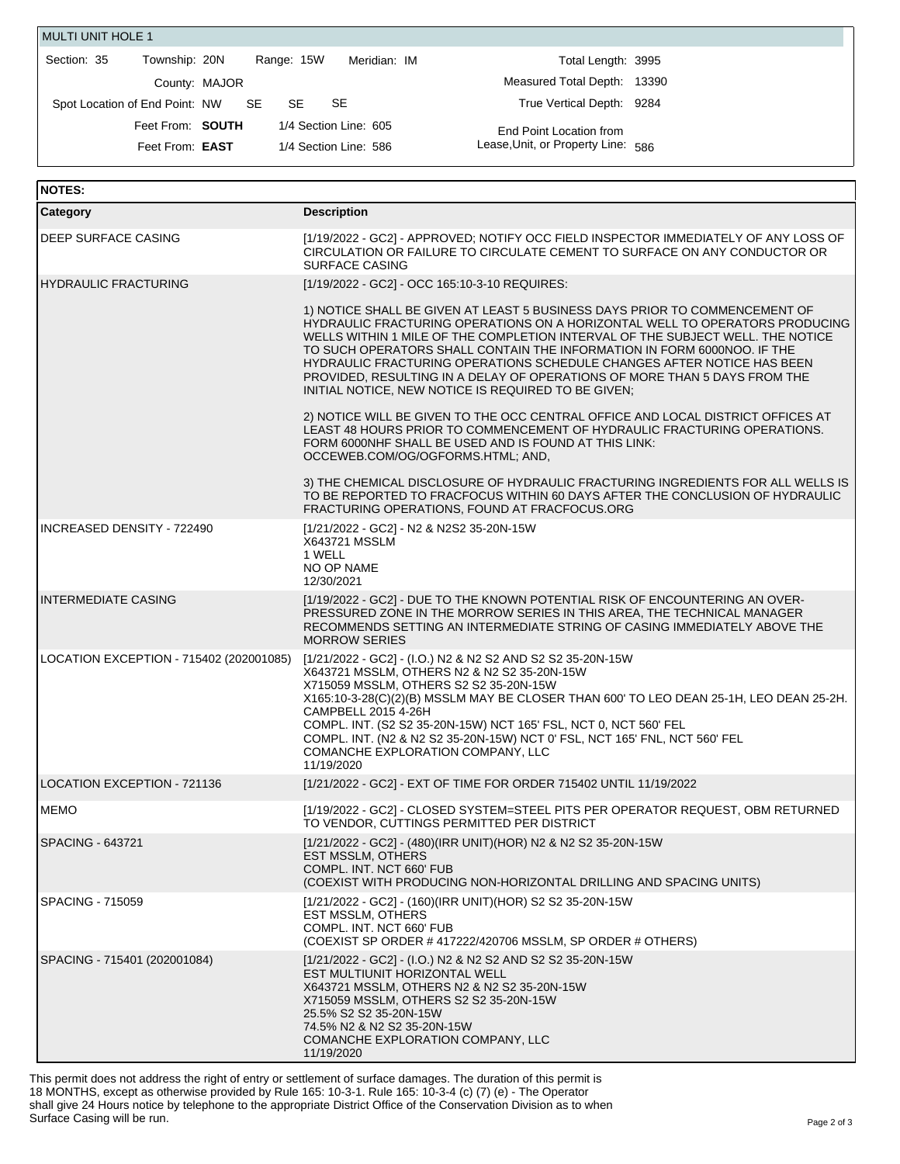| <b>MULTI UNIT HOLE 1</b>       |                                           |                            |                                    |  |
|--------------------------------|-------------------------------------------|----------------------------|------------------------------------|--|
| Section: 35<br>Township: 20N   |                                           | Range: 15W<br>Meridian: IM | Total Length: 3995                 |  |
|                                | County: MAJOR                             |                            | Measured Total Depth: 13390        |  |
| Spot Location of End Point: NW | SE SE                                     | SE<br>SE                   | True Vertical Depth: 9284          |  |
|                                | 1/4 Section Line: 605<br>Feet From: SOUTH |                            | End Point Location from            |  |
| Feet From: <b>EAST</b>         |                                           | 1/4 Section Line: 586      | Lease, Unit, or Property Line: 586 |  |
|                                |                                           |                            |                                    |  |

| <b>NOTES:</b>                           |                                                                                                                                                                                                                                                                                                                                                                                                                                                                                                                                      |
|-----------------------------------------|--------------------------------------------------------------------------------------------------------------------------------------------------------------------------------------------------------------------------------------------------------------------------------------------------------------------------------------------------------------------------------------------------------------------------------------------------------------------------------------------------------------------------------------|
| Category                                | <b>Description</b>                                                                                                                                                                                                                                                                                                                                                                                                                                                                                                                   |
| DEEP SURFACE CASING                     | [1/19/2022 - GC2] - APPROVED; NOTIFY OCC FIELD INSPECTOR IMMEDIATELY OF ANY LOSS OF<br>CIRCULATION OR FAILURE TO CIRCULATE CEMENT TO SURFACE ON ANY CONDUCTOR OR<br><b>SURFACE CASING</b>                                                                                                                                                                                                                                                                                                                                            |
| <b>IHYDRAULIC FRACTURING</b>            | [1/19/2022 - GC2] - OCC 165:10-3-10 REQUIRES:                                                                                                                                                                                                                                                                                                                                                                                                                                                                                        |
|                                         | 1) NOTICE SHALL BE GIVEN AT LEAST 5 BUSINESS DAYS PRIOR TO COMMENCEMENT OF<br>HYDRAULIC FRACTURING OPERATIONS ON A HORIZONTAL WELL TO OPERATORS PRODUCING<br>WELLS WITHIN 1 MILE OF THE COMPLETION INTERVAL OF THE SUBJECT WELL. THE NOTICE<br>TO SUCH OPERATORS SHALL CONTAIN THE INFORMATION IN FORM 6000NOO. IF THE<br>HYDRAULIC FRACTURING OPERATIONS SCHEDULE CHANGES AFTER NOTICE HAS BEEN<br>PROVIDED, RESULTING IN A DELAY OF OPERATIONS OF MORE THAN 5 DAYS FROM THE<br>INITIAL NOTICE, NEW NOTICE IS REQUIRED TO BE GIVEN; |
|                                         | 2) NOTICE WILL BE GIVEN TO THE OCC CENTRAL OFFICE AND LOCAL DISTRICT OFFICES AT<br>LEAST 48 HOURS PRIOR TO COMMENCEMENT OF HYDRAULIC FRACTURING OPERATIONS.<br>FORM 6000NHF SHALL BE USED AND IS FOUND AT THIS LINK:<br>OCCEWEB.COM/OG/OGFORMS.HTML; AND,                                                                                                                                                                                                                                                                            |
|                                         | 3) THE CHEMICAL DISCLOSURE OF HYDRAULIC FRACTURING INGREDIENTS FOR ALL WELLS IS<br>TO BE REPORTED TO FRACFOCUS WITHIN 60 DAYS AFTER THE CONCLUSION OF HYDRAULIC<br>FRACTURING OPERATIONS, FOUND AT FRACFOCUS.ORG                                                                                                                                                                                                                                                                                                                     |
| INCREASED DENSITY - 722490              | [1/21/2022 - GC2] - N2 & N2S2 35-20N-15W<br><b>X643721 MSSLM</b><br>1 WELL<br>NO OP NAME<br>12/30/2021                                                                                                                                                                                                                                                                                                                                                                                                                               |
| INTERMEDIATE CASING                     | [1/19/2022 - GC2] - DUE TO THE KNOWN POTENTIAL RISK OF ENCOUNTERING AN OVER-<br>PRESSURED ZONE IN THE MORROW SERIES IN THIS AREA, THE TECHNICAL MANAGER<br>RECOMMENDS SETTING AN INTERMEDIATE STRING OF CASING IMMEDIATELY ABOVE THE<br><b>MORROW SERIES</b>                                                                                                                                                                                                                                                                         |
| LOCATION EXCEPTION - 715402 (202001085) | [1/21/2022 - GC2] - (I.O.) N2 & N2 S2 AND S2 S2 35-20N-15W<br>X643721 MSSLM, OTHERS N2 & N2 S2 35-20N-15W<br>X715059 MSSLM, OTHERS S2 S2 35-20N-15W<br>X165:10-3-28(C)(2)(B) MSSLM MAY BE CLOSER THAN 600' TO LEO DEAN 25-1H, LEO DEAN 25-2H.<br>CAMPBELL 2015 4-26H<br>COMPL. INT. (S2 S2 35-20N-15W) NCT 165' FSL, NCT 0, NCT 560' FEL<br>COMPL. INT. (N2 & N2 S2 35-20N-15W) NCT 0' FSL, NCT 165' FNL, NCT 560' FEL<br>COMANCHE EXPLORATION COMPANY, LLC<br>11/19/2020                                                            |
| <b>LOCATION EXCEPTION - 721136</b>      | [1/21/2022 - GC2] - EXT OF TIME FOR ORDER 715402 UNTIL 11/19/2022                                                                                                                                                                                                                                                                                                                                                                                                                                                                    |
| <b>IMEMO</b>                            | [1/19/2022 - GC2] - CLOSED SYSTEM=STEEL PITS PER OPERATOR REQUEST, OBM RETURNED<br>TO VENDOR, CUTTINGS PERMITTED PER DISTRICT                                                                                                                                                                                                                                                                                                                                                                                                        |
| <b>SPACING - 643721</b>                 | [1/21/2022 - GC2] - (480)(IRR UNIT)(HOR) N2 & N2 S2 35-20N-15W<br><b>EST MSSLM, OTHERS</b><br>COMPL. INT. NCT 660' FUB<br>(COEXIST WITH PRODUCING NON-HORIZONTAL DRILLING AND SPACING UNITS)                                                                                                                                                                                                                                                                                                                                         |
| <b>SPACING - 715059</b>                 | [1/21/2022 - GC2] - (160)(IRR UNIT)(HOR) S2 S2 35-20N-15W<br>EST MSSLM, OTHERS<br>COMPL. INT. NCT 660' FUB<br>(COEXIST SP ORDER #417222/420706 MSSLM, SP ORDER # OTHERS)                                                                                                                                                                                                                                                                                                                                                             |
| SPACING - 715401 (202001084)            | [1/21/2022 - GC2] - (I.O.) N2 & N2 S2 AND S2 S2 35-20N-15W<br>EST MULTIUNIT HORIZONTAL WELL<br>X643721 MSSLM, OTHERS N2 & N2 S2 35-20N-15W<br>X715059 MSSLM, OTHERS S2 S2 35-20N-15W<br>25.5% S2 S2 35-20N-15W<br>74.5% N2 & N2 S2 35-20N-15W<br>COMANCHE EXPLORATION COMPANY, LLC<br>11/19/2020                                                                                                                                                                                                                                     |

This permit does not address the right of entry or settlement of surface damages. The duration of this permit is 18 MONTHS, except as otherwise provided by Rule 165: 10-3-1. Rule 165: 10-3-4 (c) (7) (e) - The Operator shall give 24 Hours notice by telephone to the appropriate District Office of the Conservation Division as to when Surface Casing will be run.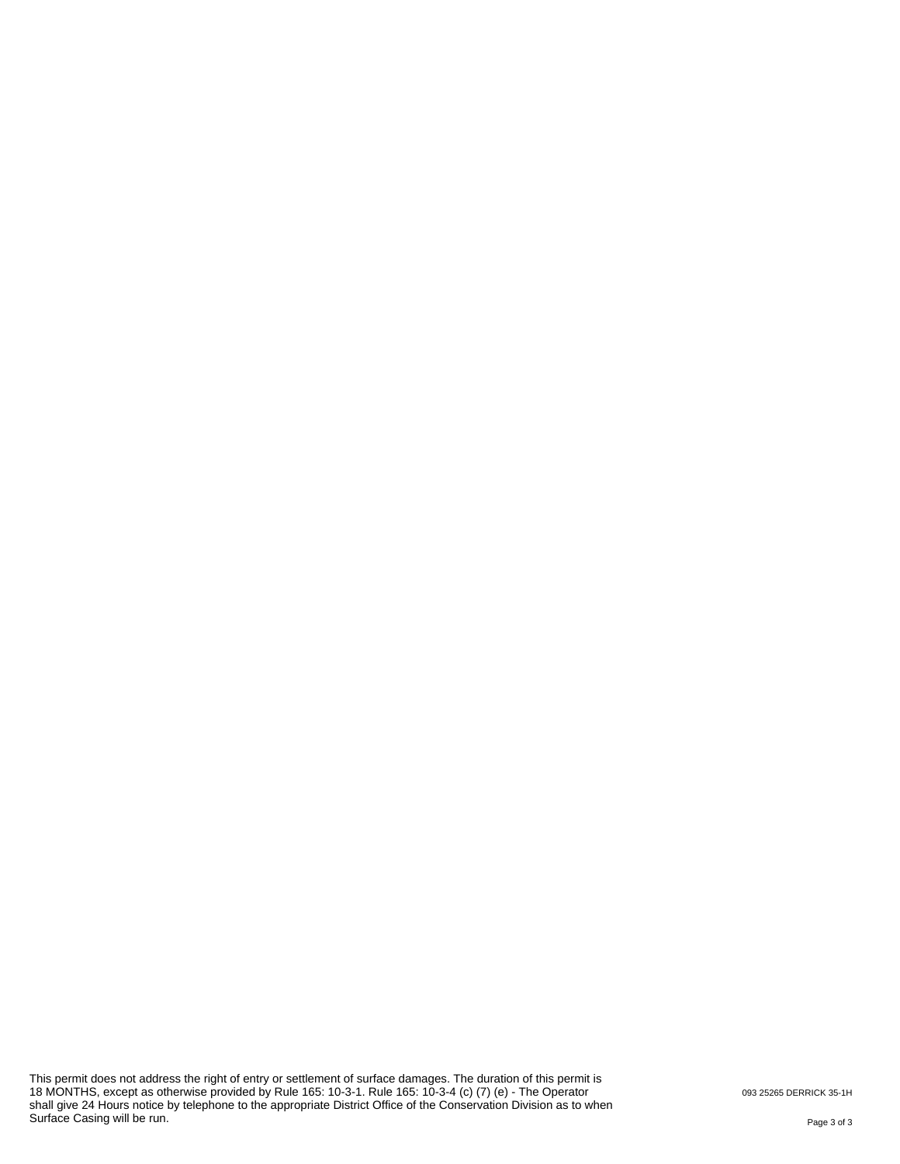This permit does not address the right of entry or settlement of surface damages. The duration of this permit is 18 MONTHS, except as otherwise provided by Rule 165: 10-3-1. Rule 165: 10-3-4 (c) (7) (e) - The Operator shall give 24 Hours notice by telephone to the appropriate District Office of the Conservation Division as to when Surface Casing will be run.